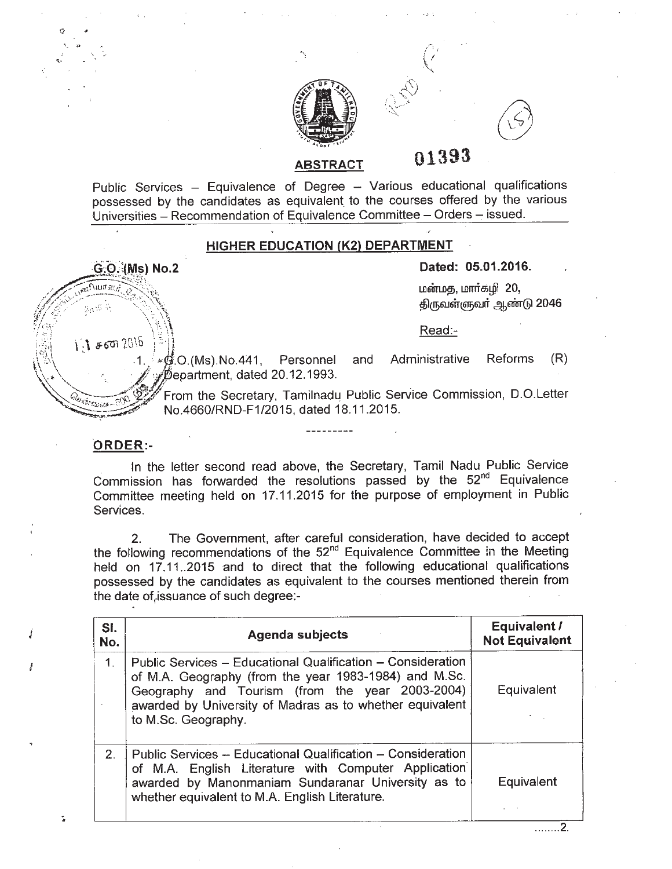

**01393**

 $\bigwedge^r$  ; \:

Public Services - Equivalence of Degree - Various educational qualifications possessed by the candidates as equivalent to the courses offered by the various Universities - Recommendation of Equivalence Committee - Orders - issued.

**ABSTRACT**

## **HIGHER EDUCATION (K2) DEPARTMENT**

G<sub>:</sub>O. (Ms) No.2 Dated: 05.01.2016.

்பார்:ப்யாளர், பார்ப்பாளர் பார். பார்க்கியாளர் பார்க்கியாளர் பார்க்கிய பார்க்கிய பார்க்கிய பார்க்கிய பார்க்கிய<br>திருவள்ளுவர் ஆண்டு 2046

Read:-

 $~\sqrt{3}$   $~\epsilon$  60  $20\,\mathrm{b}$   $~\approx$   $~\frac{20\,\mathrm{b}}{1}$ .  $~\approx$   $~\frac{60\,\mathrm{C}}{100\,\mathrm{m}}$ . No.441, Personnel and Administrative Reforms (R)  $\not\!\!\!\!\phi$ epartment, dated 20.12.1993.

From the Secretary, Tamilnadu Public Service Commission, D.O.Letter *No.4660/RND-F1/2015, dated 18.11.2015*.

## **ORDER:-**

*J*

I

 $\cdot, \cdot, \cdot$ 

In the letter second read above, the Secretary, Tamil Nadu Public Service Commission has forwarded the resolutions passed by the 52<sup>nd</sup> Equivalence Committee meeting held on 17.11.2015 for the purpose of employment in Public Services.

2. The Government, after careful consideration, have decided to accept the following recommendations of the 52<sup>nd</sup> Equivalence Committee in the Meeting held on 17.11..2015 and to direct that the following educational qualifications possessed by the candidates as equivalent to the courses mentioned therein from the date of,issuance of such degree:-

| SI.<br>No.  | <b>Agenda subjects</b>                                                                                                                                                                                                                                     | Equivalent /<br><b>Not Equivalent</b> |
|-------------|------------------------------------------------------------------------------------------------------------------------------------------------------------------------------------------------------------------------------------------------------------|---------------------------------------|
| $\mathbf 1$ | Public Services – Educational Qualification – Consideration<br>of M.A. Geography (from the year 1983-1984) and M.Sc.<br>Geography and Tourism (from the year 2003-2004)<br>awarded by University of Madras as to whether equivalent<br>to M.Sc. Geography. | Equivalent                            |
| $2 -$       | Public Services -- Educational Qualification -- Consideration<br>of M.A. English Literature with Computer Application<br>awarded by Manonmaniam Sundaranar University as to<br>whether equivalent to M.A. English Literature.                              | Equivalent                            |

. . . . . . . 2.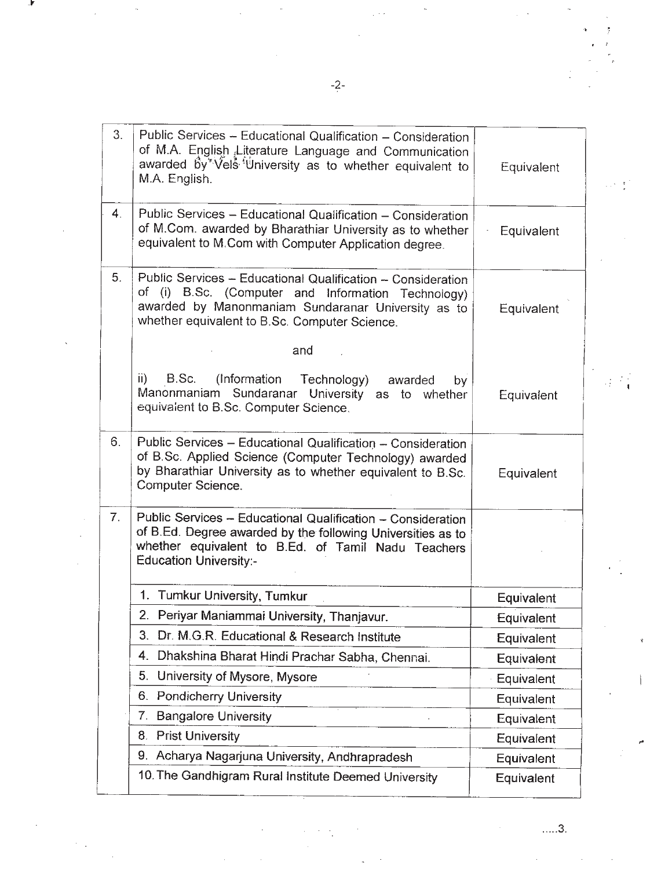| 3.             | Public Services - Educational Qualification - Consideration<br>of M.A. English Literature Language and Communication<br>awarded by Vels <sup>tig</sup> niversity as to whether equivalent to<br>M.A. English.            | Equivalent        |
|----------------|--------------------------------------------------------------------------------------------------------------------------------------------------------------------------------------------------------------------------|-------------------|
| 4.             | Public Services - Educational Qualification - Consideration<br>of M.Com. awarded by Bharathiar University as to whether<br>equivalent to M.Com with Computer Application degree.                                         | Equivalent        |
| 5.             | Public Services - Educational Qualification - Consideration<br>of (i) B.Sc. (Computer and Information Technology)<br>awarded by Manonmaniam Sundaranar University as to<br>whether equivalent to B.Sc. Computer Science. | <b>Equivalent</b> |
|                | and                                                                                                                                                                                                                      |                   |
|                | $\overline{ii}$<br>B.Sc. (Information<br>Technology)<br>awarded<br>by<br>Manonmaniam Sundaranar University<br>as to whether<br>equivalent to B.Sc. Computer Science.                                                     | Equivalent        |
| 6.             | Public Services - Educational Qualification - Consideration<br>of B.Sc. Applied Science (Computer Technology) awarded<br>by Bharathiar University as to whether equivalent to B.Sc.<br>Computer Science.                 | Equivalent        |
| 7 <sub>1</sub> | Public Services - Educational Qualification - Consideration<br>of B.Ed. Degree awarded by the following Universities as to<br>whether equivalent to B.Ed. of Tamil Nadu Teachers<br><b>Education University:-</b>        |                   |
|                | 1. Tumkur University, Tumkur                                                                                                                                                                                             | Equivalent        |
|                | 2. Periyar Maniammai University, Thanjavur.                                                                                                                                                                              | Equivalent        |
|                | Dr. M.G.R. Educational & Research Institute<br>3.                                                                                                                                                                        | Equivalent        |
|                | Dhakshina Bharat Hindi Prachar Sabha, Chennai.<br>4.                                                                                                                                                                     | Equivalent        |
|                | 5.<br>University of Mysore, Mysore                                                                                                                                                                                       | Equivalent        |
|                | <b>Pondicherry University</b><br>6.                                                                                                                                                                                      | Equivalent        |
|                | <b>Bangalore University</b><br>7.                                                                                                                                                                                        | Equivalent        |
|                | <b>Prist University</b><br>8.                                                                                                                                                                                            | Equivalent        |
|                | Acharya Nagarjuna University, Andhrapradesh<br>9.                                                                                                                                                                        | Equivalent        |
|                | 10. The Gandhigram Rural Institute Deemed University                                                                                                                                                                     | Equivalent        |

 $\ddot{\phantom{a}}$ 

-~

..... 3.

 $\sim$ 

 $\mathcal{L}$ 

 $\mathcal{A}^{\mathcal{A}}_{\mathcal{A}}$  ,  $\mathcal{A}$